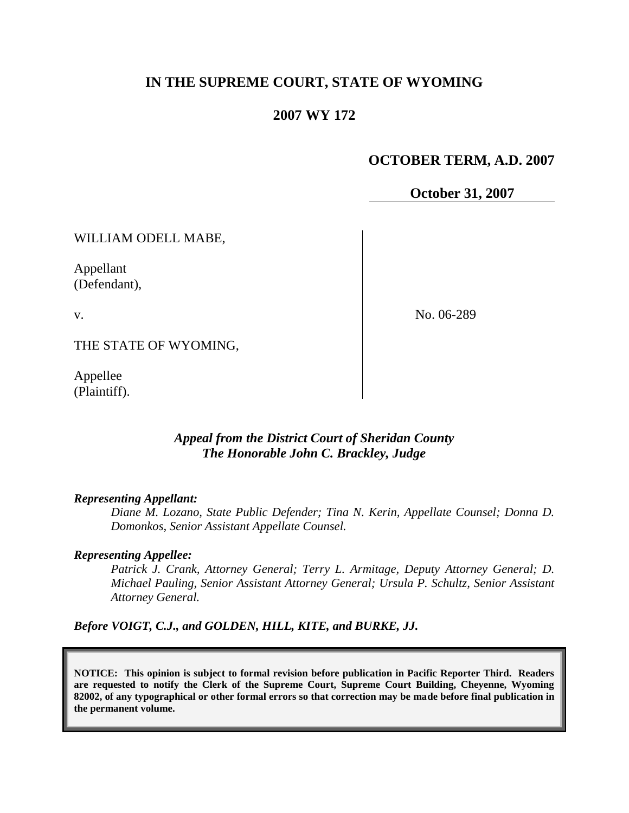## **IN THE SUPREME COURT, STATE OF WYOMING**

#### **2007 WY 172**

## **OCTOBER TERM, A.D. 2007**

**October 31, 2007**

WILLIAM ODELL MABE,

Appellant (Defendant),

v.

No. 06-289

THE STATE OF WYOMING,

Appellee (Plaintiff).

## *Appeal from the District Court of Sheridan County The Honorable John C. Brackley, Judge*

#### *Representing Appellant:*

*Diane M. Lozano, State Public Defender; Tina N. Kerin, Appellate Counsel; Donna D. Domonkos, Senior Assistant Appellate Counsel.*

#### *Representing Appellee:*

*Patrick J. Crank, Attorney General; Terry L. Armitage, Deputy Attorney General; D. Michael Pauling, Senior Assistant Attorney General; Ursula P. Schultz, Senior Assistant Attorney General.*

*Before VOIGT, C.J., and GOLDEN, HILL, KITE, and BURKE, JJ.*

**NOTICE: This opinion is subject to formal revision before publication in Pacific Reporter Third. Readers are requested to notify the Clerk of the Supreme Court, Supreme Court Building, Cheyenne, Wyoming 82002, of any typographical or other formal errors so that correction may be made before final publication in the permanent volume.**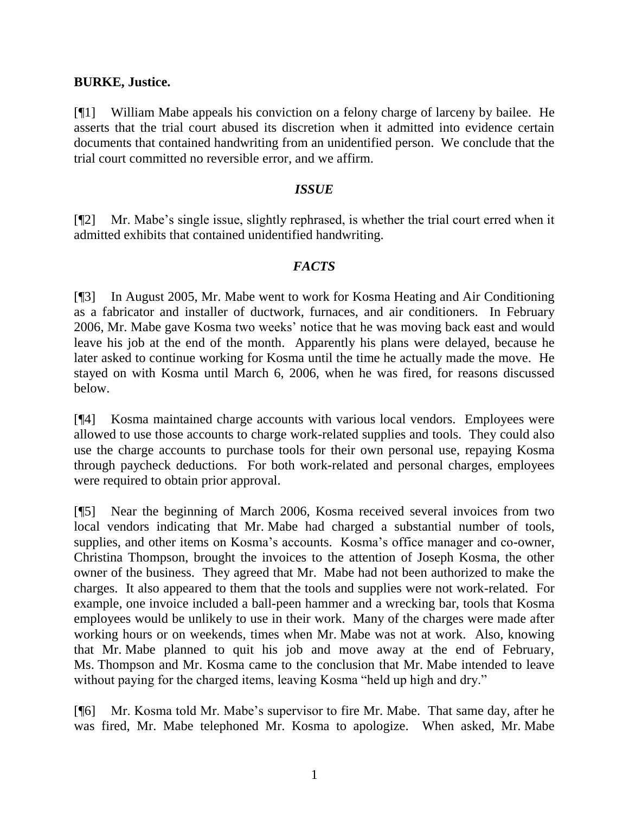#### **BURKE, Justice.**

[¶1] William Mabe appeals his conviction on a felony charge of larceny by bailee. He asserts that the trial court abused its discretion when it admitted into evidence certain documents that contained handwriting from an unidentified person. We conclude that the trial court committed no reversible error, and we affirm.

#### *ISSUE*

[¶2] Mr. Mabe's single issue, slightly rephrased, is whether the trial court erred when it admitted exhibits that contained unidentified handwriting.

## *FACTS*

[¶3] In August 2005, Mr. Mabe went to work for Kosma Heating and Air Conditioning as a fabricator and installer of ductwork, furnaces, and air conditioners. In February 2006, Mr. Mabe gave Kosma two weeks' notice that he was moving back east and would leave his job at the end of the month. Apparently his plans were delayed, because he later asked to continue working for Kosma until the time he actually made the move. He stayed on with Kosma until March 6, 2006, when he was fired, for reasons discussed below.

[¶4] Kosma maintained charge accounts with various local vendors. Employees were allowed to use those accounts to charge work-related supplies and tools. They could also use the charge accounts to purchase tools for their own personal use, repaying Kosma through paycheck deductions. For both work-related and personal charges, employees were required to obtain prior approval.

[¶5] Near the beginning of March 2006, Kosma received several invoices from two local vendors indicating that Mr. Mabe had charged a substantial number of tools, supplies, and other items on Kosma's accounts. Kosma's office manager and co-owner, Christina Thompson, brought the invoices to the attention of Joseph Kosma, the other owner of the business. They agreed that Mr. Mabe had not been authorized to make the charges. It also appeared to them that the tools and supplies were not work-related. For example, one invoice included a ball-peen hammer and a wrecking bar, tools that Kosma employees would be unlikely to use in their work. Many of the charges were made after working hours or on weekends, times when Mr. Mabe was not at work. Also, knowing that Mr. Mabe planned to quit his job and move away at the end of February, Ms. Thompson and Mr. Kosma came to the conclusion that Mr. Mabe intended to leave without paying for the charged items, leaving Kosma "held up high and dry."

[¶6] Mr. Kosma told Mr. Mabe's supervisor to fire Mr. Mabe. That same day, after he was fired, Mr. Mabe telephoned Mr. Kosma to apologize. When asked, Mr. Mabe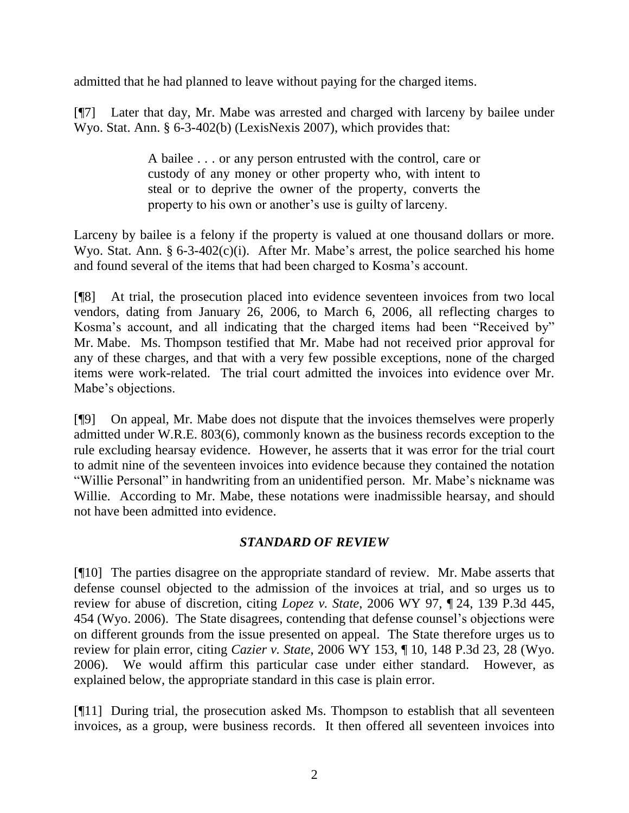admitted that he had planned to leave without paying for the charged items.

[¶7] Later that day, Mr. Mabe was arrested and charged with larceny by bailee under Wyo. Stat. Ann. § 6-3-402(b) (LexisNexis 2007), which provides that:

> A bailee . . . or any person entrusted with the control, care or custody of any money or other property who, with intent to steal or to deprive the owner of the property, converts the property to his own or another's use is guilty of larceny.

Larceny by bailee is a felony if the property is valued at one thousand dollars or more. Wyo. Stat. Ann.  $\S 6$ -3-402(c)(i). After Mr. Mabe's arrest, the police searched his home and found several of the items that had been charged to Kosma's account.

[¶8] At trial, the prosecution placed into evidence seventeen invoices from two local vendors, dating from January 26, 2006, to March 6, 2006, all reflecting charges to Kosma's account, and all indicating that the charged items had been "Received by" Mr. Mabe. Ms. Thompson testified that Mr. Mabe had not received prior approval for any of these charges, and that with a very few possible exceptions, none of the charged items were work-related. The trial court admitted the invoices into evidence over Mr. Mabe's objections.

[¶9] On appeal, Mr. Mabe does not dispute that the invoices themselves were properly admitted under W.R.E. 803(6), commonly known as the business records exception to the rule excluding hearsay evidence. However, he asserts that it was error for the trial court to admit nine of the seventeen invoices into evidence because they contained the notation "Willie Personal" in handwriting from an unidentified person. Mr. Mabe's nickname was Willie. According to Mr. Mabe, these notations were inadmissible hearsay, and should not have been admitted into evidence.

# *STANDARD OF REVIEW*

[¶10] The parties disagree on the appropriate standard of review. Mr. Mabe asserts that defense counsel objected to the admission of the invoices at trial, and so urges us to review for abuse of discretion, citing *Lopez v. State*, 2006 WY 97, ¶ 24, 139 P.3d 445, 454 (Wyo. 2006). The State disagrees, contending that defense counsel's objections were on different grounds from the issue presented on appeal. The State therefore urges us to review for plain error, citing *Cazier v. State*, 2006 WY 153, ¶ 10, 148 P.3d 23, 28 (Wyo. 2006). We would affirm this particular case under either standard. However, as explained below, the appropriate standard in this case is plain error.

[¶11] During trial, the prosecution asked Ms. Thompson to establish that all seventeen invoices, as a group, were business records. It then offered all seventeen invoices into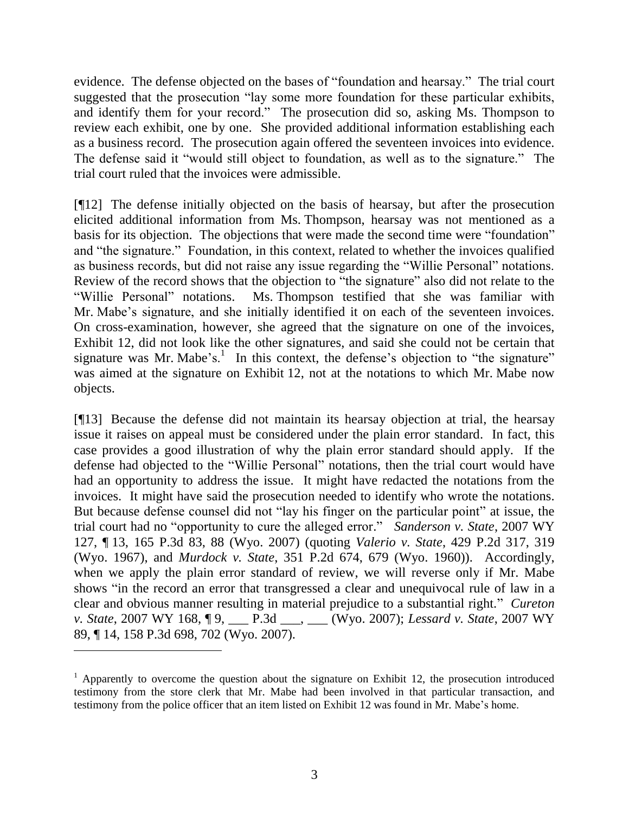evidence. The defense objected on the bases of "foundation and hearsay." The trial court suggested that the prosecution "lay some more foundation for these particular exhibits, and identify them for your record." The prosecution did so, asking Ms. Thompson to review each exhibit, one by one. She provided additional information establishing each as a business record. The prosecution again offered the seventeen invoices into evidence. The defense said it "would still object to foundation, as well as to the signature." The trial court ruled that the invoices were admissible.

[¶12] The defense initially objected on the basis of hearsay, but after the prosecution elicited additional information from Ms. Thompson, hearsay was not mentioned as a basis for its objection. The objections that were made the second time were "foundation" and "the signature." Foundation, in this context, related to whether the invoices qualified as business records, but did not raise any issue regarding the "Willie Personal" notations. Review of the record shows that the objection to "the signature" also did not relate to the "Willie Personal" notations. Ms. Thompson testified that she was familiar with Mr. Mabe's signature, and she initially identified it on each of the seventeen invoices. On cross-examination, however, she agreed that the signature on one of the invoices, Exhibit 12, did not look like the other signatures, and said she could not be certain that signature was Mr. Mabe's. $<sup>1</sup>$  In this context, the defense's objection to "the signature"</sup> was aimed at the signature on Exhibit 12, not at the notations to which Mr. Mabe now objects.

[¶13] Because the defense did not maintain its hearsay objection at trial, the hearsay issue it raises on appeal must be considered under the plain error standard. In fact, this case provides a good illustration of why the plain error standard should apply. If the defense had objected to the "Willie Personal" notations, then the trial court would have had an opportunity to address the issue. It might have redacted the notations from the invoices. It might have said the prosecution needed to identify who wrote the notations. But because defense counsel did not "lay his finger on the particular point" at issue, the trial court had no "opportunity to cure the alleged error." *Sanderson v. State*, 2007 WY 127, ¶ 13, 165 P.3d 83, 88 (Wyo. 2007) (quoting *Valerio v. State*, 429 P.2d 317, 319 (Wyo. 1967), and *Murdock v. State*, 351 P.2d 674, 679 (Wyo. 1960)). Accordingly, when we apply the plain error standard of review, we will reverse only if Mr. Mabe shows "in the record an error that transgressed a clear and unequivocal rule of law in a clear and obvious manner resulting in material prejudice to a substantial right." *Cureton v. State*, 2007 WY 168, ¶ 9, \_\_\_ P.3d \_\_\_, \_\_\_ (Wyo. 2007); *Lessard v. State*, 2007 WY 89, ¶ 14, 158 P.3d 698, 702 (Wyo. 2007).

 $\overline{a}$ 

 $1$  Apparently to overcome the question about the signature on Exhibit 12, the prosecution introduced testimony from the store clerk that Mr. Mabe had been involved in that particular transaction, and testimony from the police officer that an item listed on Exhibit 12 was found in Mr. Mabe's home.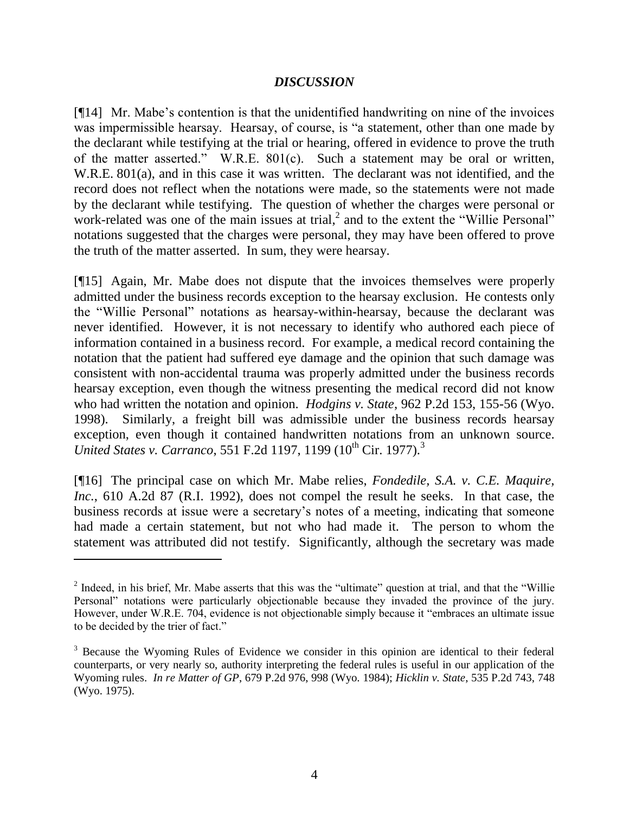## *DISCUSSION*

[¶14] Mr. Mabe's contention is that the unidentified handwriting on nine of the invoices was impermissible hearsay. Hearsay, of course, is "a statement, other than one made by the declarant while testifying at the trial or hearing, offered in evidence to prove the truth of the matter asserted." W.R.E. 801(c). Such a statement may be oral or written, W.R.E. 801(a), and in this case it was written. The declarant was not identified, and the record does not reflect when the notations were made, so the statements were not made by the declarant while testifying. The question of whether the charges were personal or work-related was one of the main issues at trial,<sup>2</sup> and to the extent the "Willie Personal" notations suggested that the charges were personal, they may have been offered to prove the truth of the matter asserted. In sum, they were hearsay.

[¶15] Again, Mr. Mabe does not dispute that the invoices themselves were properly admitted under the business records exception to the hearsay exclusion. He contests only the "Willie Personal" notations as hearsay-within-hearsay, because the declarant was never identified. However, it is not necessary to identify who authored each piece of information contained in a business record. For example, a medical record containing the notation that the patient had suffered eye damage and the opinion that such damage was consistent with non-accidental trauma was properly admitted under the business records hearsay exception, even though the witness presenting the medical record did not know who had written the notation and opinion. *Hodgins v. State*, 962 P.2d 153, 155-56 (Wyo. 1998). Similarly, a freight bill was admissible under the business records hearsay exception, even though it contained handwritten notations from an unknown source. *United States v. Carranco*, 551 F.2d 1197, 1199 (10<sup>th</sup> Cir. 1977).<sup>3</sup>

[¶16] The principal case on which Mr. Mabe relies, *Fondedile, S.A. v. C.E. Maquire, Inc.*, 610 A.2d 87 (R.I. 1992), does not compel the result he seeks. In that case, the business records at issue were a secretary's notes of a meeting, indicating that someone had made a certain statement, but not who had made it. The person to whom the statement was attributed did not testify. Significantly, although the secretary was made

 $2$  Indeed, in his brief, Mr. Mabe asserts that this was the "ultimate" question at trial, and that the "Willie" Personal" notations were particularly objectionable because they invaded the province of the jury. However, under W.R.E. 704, evidence is not objectionable simply because it "embraces an ultimate issue to be decided by the trier of fact."

<sup>&</sup>lt;sup>3</sup> Because the Wyoming Rules of Evidence we consider in this opinion are identical to their federal counterparts, or very nearly so, authority interpreting the federal rules is useful in our application of the Wyoming rules. *In re Matter of GP*, 679 P.2d 976, 998 (Wyo. 1984); *Hicklin v. State*, 535 P.2d 743, 748 (Wyo. 1975).